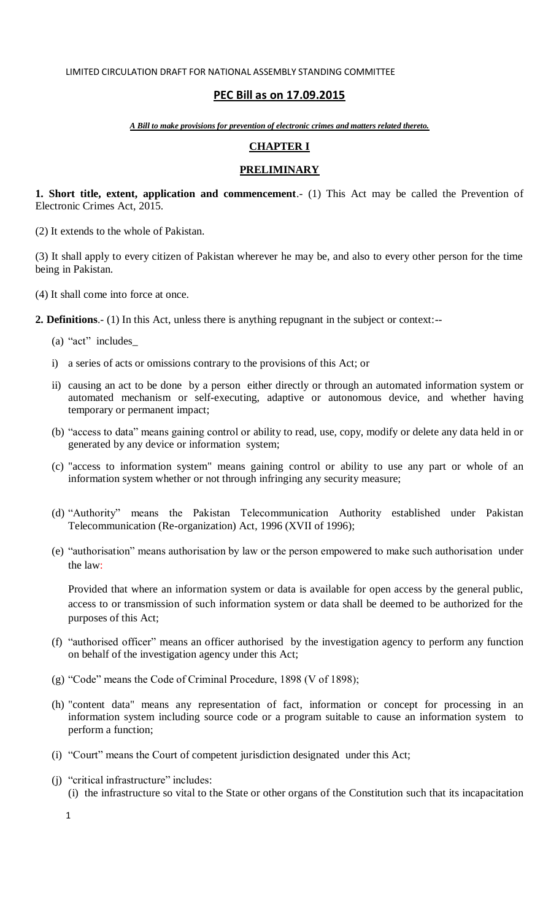# **PEC Bill as on 17.09.2015**

*A Bill to make provisions for prevention of electronic crimes and matters related thereto.*

# **CHAPTER I**

# **PRELIMINARY**

**1. Short title, extent, application and commencement**.- (1) This Act may be called the Prevention of Electronic Crimes Act, 2015.

(2) It extends to the whole of Pakistan.

(3) It shall apply to every citizen of Pakistan wherever he may be, and also to every other person for the time being in Pakistan.

(4) It shall come into force at once.

**2. Definitions**.- (1) In this Act, unless there is anything repugnant in the subject or context:--

- (a) "act" includes
- i) a series of acts or omissions contrary to the provisions of this Act; or
- ii) causing an act to be done by a person either directly or through an automated information system or automated mechanism or self-executing, adaptive or autonomous device, and whether having temporary or permanent impact;
- (b) "access to data" means gaining control or ability to read, use, copy, modify or delete any data held in or generated by any device or information system;
- (c) "access to information system" means gaining control or ability to use any part or whole of an information system whether or not through infringing any security measure;
- (d) "Authority" means the Pakistan Telecommunication Authority established under Pakistan Telecommunication (Re-organization) Act, 1996 (XVII of 1996);
- (e) "authorisation" means authorisation by law or the person empowered to make such authorisation under the law:

Provided that where an information system or data is available for open access by the general public, access to or transmission of such information system or data shall be deemed to be authorized for the purposes of this Act;

- (f) "authorised officer" means an officer authorised by the investigation agency to perform any function on behalf of the investigation agency under this Act;
- (g) "Code" means the Code of Criminal Procedure, 1898 (V of 1898);
- (h) "content data" means any representation of fact, information or concept for processing in an information system including source code or a program suitable to cause an information system to perform a function;
- (i) "Court" means the Court of competent jurisdiction designated under this Act;
- $(i)$  "critical infrastructure" includes: (i) the infrastructure so vital to the State or other organs of the Constitution such that its incapacitation

1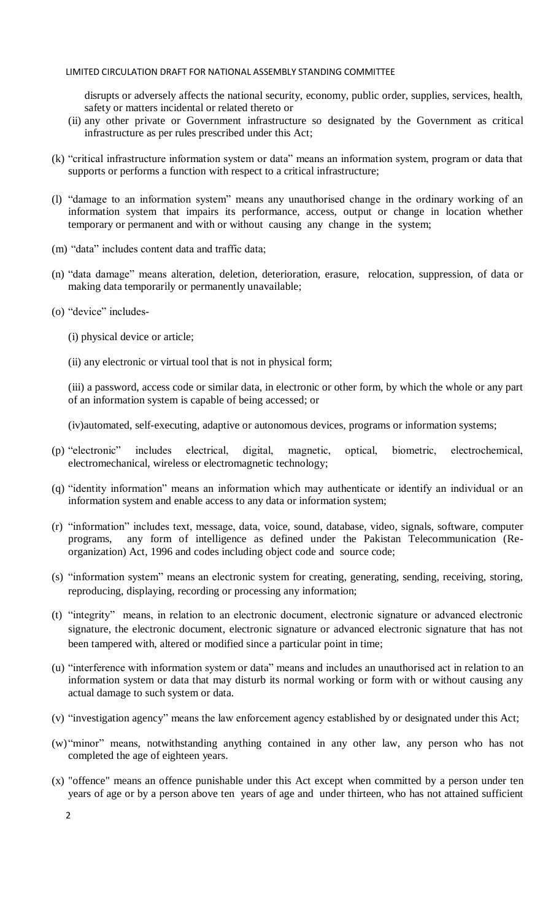disrupts or adversely affects the national security, economy, public order, supplies, services, health, safety or matters incidental or related thereto or

- (ii) any other private or Government infrastructure so designated by the Government as critical infrastructure as per rules prescribed under this Act;
- (k) ―critical infrastructure information system or data‖ means an information system, program or data that supports or performs a function with respect to a critical infrastructure;
- (I) "damage to an information system" means any unauthorised change in the ordinary working of an information system that impairs its performance, access, output or change in location whether temporary or permanent and with or without causing any change in the system;
- (m) "data" includes content data and traffic data;
- (n) "data damage" means alteration, deletion, deterioration, erasure, relocation, suppression, of data or making data temporarily or permanently unavailable;
- (o) "device" includes-
	- (i) physical device or article;
	- (ii) any electronic or virtual tool that is not in physical form;

(iii) a password, access code or similar data, in electronic or other form, by which the whole or any part of an information system is capable of being accessed; or

(iv)automated, self-executing, adaptive or autonomous devices, programs or information systems;

- (p) "electronic" includes electrical, digital, magnetic, optical, biometric, electrochemical, electromechanical, wireless or electromagnetic technology;
- (q) "identity information" means an information which may authenticate or identify an individual or an information system and enable access to any data or information system;
- (r) "information" includes text, message, data, voice, sound, database, video, signals, software, computer programs, any form of intelligence as defined under the Pakistan Telecommunication (Reorganization) Act, 1996 and codes including object code and source code;
- (s) "information system" means an electronic system for creating, generating, sending, receiving, storing, reproducing, displaying, recording or processing any information;
- (t) "integrity" means, in relation to an electronic document, electronic signature or advanced electronic signature, the electronic document, electronic signature or advanced electronic signature that has not been tampered with, altered or modified since a particular point in time;
- (u) "interference with information system or data" means and includes an unauthorised act in relation to an information system or data that may disturb its normal working or form with or without causing any actual damage to such system or data.
- (v) "investigation agency" means the law enforcement agency established by or designated under this Act;
- (w) "minor" means, notwithstanding anything contained in any other law, any person who has not completed the age of eighteen years.
- (x) "offence" means an offence punishable under this Act except when committed by a person under ten years of age or by a person above ten years of age and under thirteen, who has not attained sufficient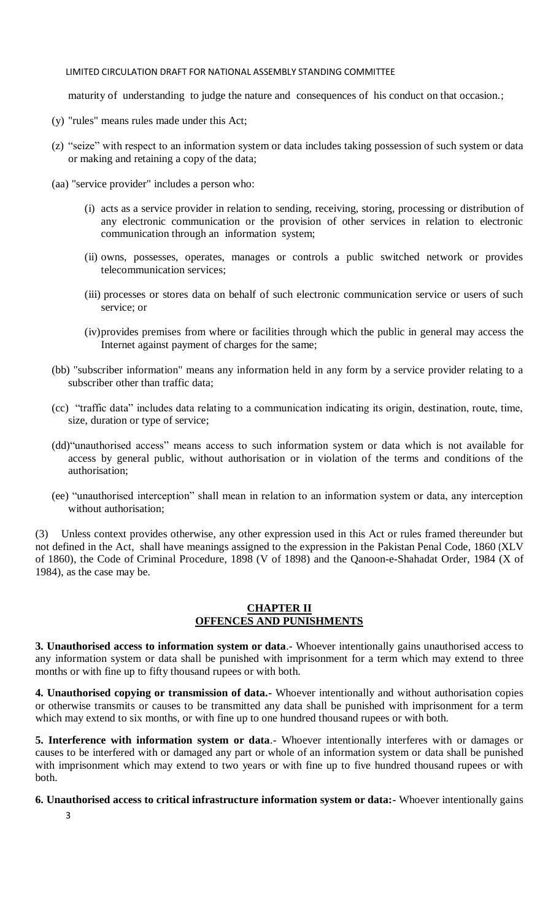maturity of understanding to judge the nature and consequences of his conduct on that occasion.;

- (y) "rules" means rules made under this Act;
- (z) "seize" with respect to an information system or data includes taking possession of such system or data or making and retaining a copy of the data;
- (aa) "service provider" includes a person who:
	- (i) acts as a service provider in relation to sending, receiving, storing, processing or distribution of any electronic communication or the provision of other services in relation to electronic communication through an information system;
	- (ii) owns, possesses, operates, manages or controls a public switched network or provides telecommunication services;
	- (iii) processes or stores data on behalf of such electronic communication service or users of such service; or
	- (iv)provides premises from where or facilities through which the public in general may access the Internet against payment of charges for the same;
- (bb) "subscriber information" means any information held in any form by a service provider relating to a subscriber other than traffic data;
- (cc) ―traffic data‖ includes data relating to a communication indicating its origin, destination, route, time, size, duration or type of service;
- (dd) "unauthorised access" means access to such information system or data which is not available for access by general public, without authorisation or in violation of the terms and conditions of the authorisation;
- (ee) "unauthorised interception" shall mean in relation to an information system or data, any interception without authorisation;

(3) Unless context provides otherwise, any other expression used in this Act or rules framed thereunder but not defined in the Act, shall have meanings assigned to the expression in the Pakistan Penal Code, 1860 (XLV of 1860), the Code of Criminal Procedure, 1898 (V of 1898) and the Qanoon-e-Shahadat Order, 1984 (X of 1984), as the case may be.

### **CHAPTER II OFFENCES AND PUNISHMENTS**

**3. Unauthorised access to information system or data**.- Whoever intentionally gains unauthorised access to any information system or data shall be punished with imprisonment for a term which may extend to three months or with fine up to fifty thousand rupees or with both.

**4. Unauthorised copying or transmission of data.-** Whoever intentionally and without authorisation copies or otherwise transmits or causes to be transmitted any data shall be punished with imprisonment for a term which may extend to six months, or with fine up to one hundred thousand rupees or with both.

**5. Interference with information system or data**.- Whoever intentionally interferes with or damages or causes to be interfered with or damaged any part or whole of an information system or data shall be punished with imprisonment which may extend to two years or with fine up to five hundred thousand rupees or with both.

### **6. Unauthorised access to critical infrastructure information system or data:-** Whoever intentionally gains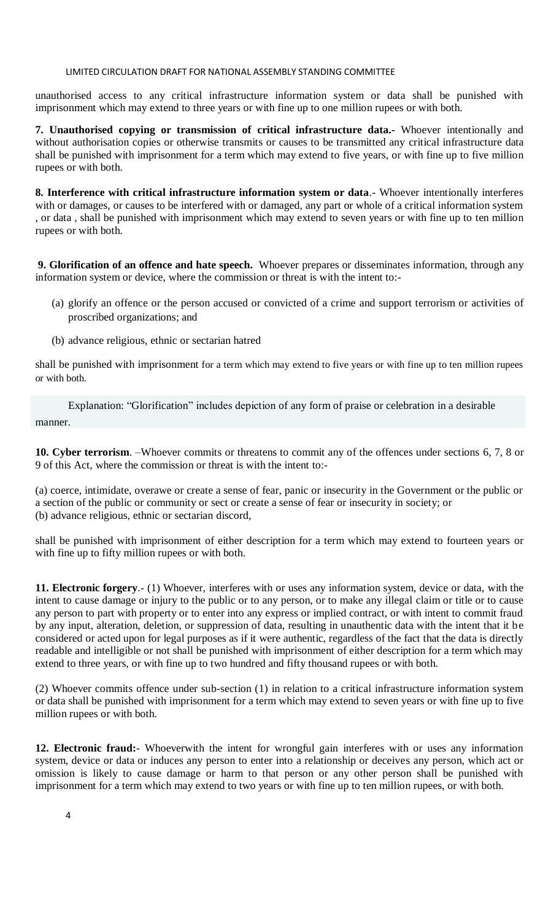unauthorised access to any critical infrastructure information system or data shall be punished with imprisonment which may extend to three years or with fine up to one million rupees or with both.

**7. Unauthorised copying or transmission of critical infrastructure data.-** Whoever intentionally and without authorisation copies or otherwise transmits or causes to be transmitted any critical infrastructure data shall be punished with imprisonment for a term which may extend to five years, or with fine up to five million rupees or with both.

**8. Interference with critical infrastructure information system or data**.- Whoever intentionally interferes with or damages, or causes to be interfered with or damaged, any part or whole of a critical information system , or data , shall be punished with imprisonment which may extend to seven years or with fine up to ten million rupees or with both.

**9. Glorification of an offence and hate speech.** Whoever prepares or disseminates information, through any information system or device, where the commission or threat is with the intent to:-

- (a) glorify an offence or the person accused or convicted of a crime and support terrorism or activities of proscribed organizations; and
- (b) advance religious, ethnic or sectarian hatred

shall be punished with imprisonment for a term which may extend to five years or with fine up to ten million rupees or with both.

Explanation: "Glorification" includes depiction of any form of praise or celebration in a desirable manner.

**10. Cyber terrorism**. –Whoever commits or threatens to commit any of the offences under sections 6, 7, 8 or 9 of this Act, where the commission or threat is with the intent to:-

(a) coerce, intimidate, overawe or create a sense of fear, panic or insecurity in the Government or the public or a section of the public or community or sect or create a sense of fear or insecurity in society; or (b) advance religious, ethnic or sectarian discord,

shall be punished with imprisonment of either description for a term which may extend to fourteen years or with fine up to fifty million rupees or with both.

**11. Electronic forgery**.- (1) Whoever, interferes with or uses any information system, device or data, with the intent to cause damage or injury to the public or to any person, or to make any illegal claim or title or to cause any person to part with property or to enter into any express or implied contract, or with intent to commit fraud by any input, alteration, deletion, or suppression of data, resulting in unauthentic data with the intent that it be considered or acted upon for legal purposes as if it were authentic, regardless of the fact that the data is directly readable and intelligible or not shall be punished with imprisonment of either description for a term which may extend to three years, or with fine up to two hundred and fifty thousand rupees or with both.

(2) Whoever commits offence under sub-section (1) in relation to a critical infrastructure information system or data shall be punished with imprisonment for a term which may extend to seven years or with fine up to five million rupees or with both.

**12. Electronic fraud:**- Whoeverwith the intent for wrongful gain interferes with or uses any information system, device or data or induces any person to enter into a relationship or deceives any person, which act or omission is likely to cause damage or harm to that person or any other person shall be punished with imprisonment for a term which may extend to two years or with fine up to ten million rupees, or with both.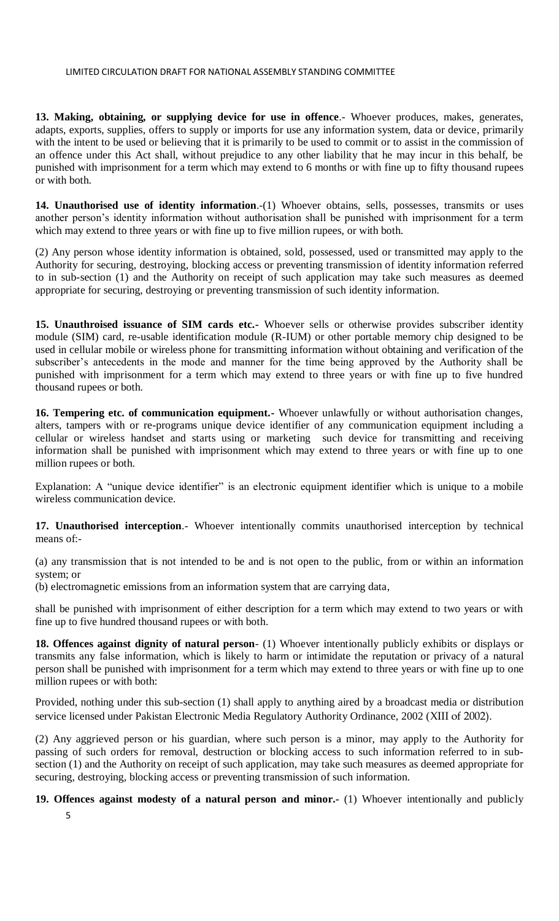**13. Making, obtaining, or supplying device for use in offence**.- Whoever produces, makes, generates, adapts, exports, supplies, offers to supply or imports for use any information system, data or device, primarily with the intent to be used or believing that it is primarily to be used to commit or to assist in the commission of an offence under this Act shall, without prejudice to any other liability that he may incur in this behalf, be punished with imprisonment for a term which may extend to 6 months or with fine up to fifty thousand rupees or with both.

**14. Unauthorised use of identity information**.-(1) Whoever obtains, sells, possesses, transmits or uses another person's identity information without authorisation shall be punished with imprisonment for a term which may extend to three years or with fine up to five million rupees, or with both.

(2) Any person whose identity information is obtained, sold, possessed, used or transmitted may apply to the Authority for securing, destroying, blocking access or preventing transmission of identity information referred to in sub-section (1) and the Authority on receipt of such application may take such measures as deemed appropriate for securing, destroying or preventing transmission of such identity information.

**15. Unauthroised issuance of SIM cards etc.-** Whoever sells or otherwise provides subscriber identity module (SIM) card, re-usable identification module (R-IUM) or other portable memory chip designed to be used in cellular mobile or wireless phone for transmitting information without obtaining and verification of the subscriber's antecedents in the mode and manner for the time being approved by the Authority shall be punished with imprisonment for a term which may extend to three years or with fine up to five hundred thousand rupees or both.

**16. Tempering etc. of communication equipment.-** Whoever unlawfully or without authorisation changes, alters, tampers with or re-programs unique device identifier of any communication equipment including a cellular or wireless handset and starts using or marketing such device for transmitting and receiving information shall be punished with imprisonment which may extend to three years or with fine up to one million rupees or both.

Explanation: A "unique device identifier" is an electronic equipment identifier which is unique to a mobile wireless communication device.

**17. Unauthorised interception**.- Whoever intentionally commits unauthorised interception by technical means of:-

(a) any transmission that is not intended to be and is not open to the public, from or within an information system; or

(b) electromagnetic emissions from an information system that are carrying data,

shall be punished with imprisonment of either description for a term which may extend to two years or with fine up to five hundred thousand rupees or with both.

**18. Offences against dignity of natural person**- (1) Whoever intentionally publicly exhibits or displays or transmits any false information, which is likely to harm or intimidate the reputation or privacy of a natural person shall be punished with imprisonment for a term which may extend to three years or with fine up to one million rupees or with both:

Provided, nothing under this sub-section (1) shall apply to anything aired by a broadcast media or distribution service licensed under Pakistan Electronic Media Regulatory Authority Ordinance, 2002 (XIII of 2002).

(2) Any aggrieved person or his guardian, where such person is a minor, may apply to the Authority for passing of such orders for removal, destruction or blocking access to such information referred to in subsection (1) and the Authority on receipt of such application, may take such measures as deemed appropriate for securing, destroying, blocking access or preventing transmission of such information.

**19. Offences against modesty of a natural person and minor.-** (1) Whoever intentionally and publicly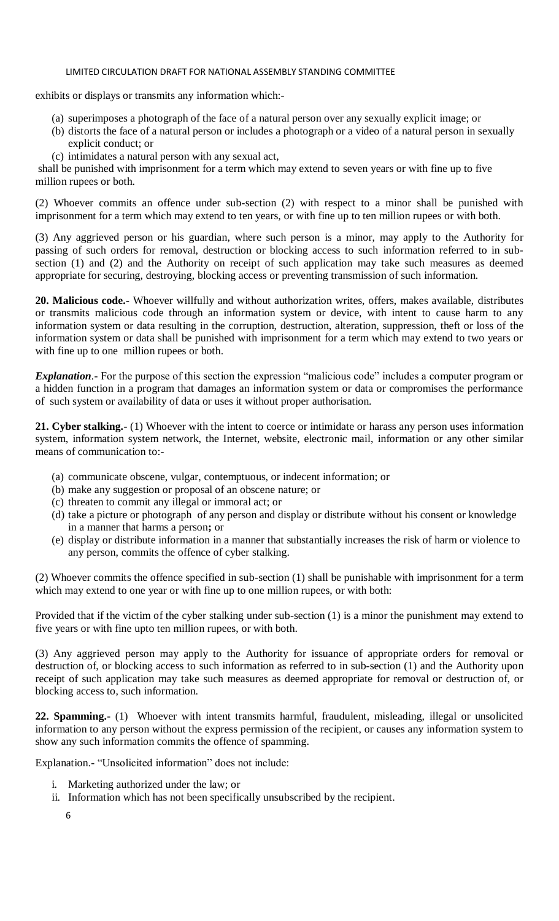exhibits or displays or transmits any information which:-

- (a) superimposes a photograph of the face of a natural person over any sexually explicit image; or
- (b) distorts the face of a natural person or includes a photograph or a video of a natural person in sexually explicit conduct; or
- (c) intimidates a natural person with any sexual act,

shall be punished with imprisonment for a term which may extend to seven years or with fine up to five million rupees or both.

(2) Whoever commits an offence under sub-section (2) with respect to a minor shall be punished with imprisonment for a term which may extend to ten years, or with fine up to ten million rupees or with both.

(3) Any aggrieved person or his guardian, where such person is a minor, may apply to the Authority for passing of such orders for removal, destruction or blocking access to such information referred to in subsection (1) and (2) and the Authority on receipt of such application may take such measures as deemed appropriate for securing, destroying, blocking access or preventing transmission of such information.

**20. Malicious code.-** Whoever willfully and without authorization writes, offers, makes available, distributes or transmits malicious code through an information system or device, with intent to cause harm to any information system or data resulting in the corruption, destruction, alteration, suppression, theft or loss of the information system or data shall be punished with imprisonment for a term which may extend to two years or with fine up to one million rupees or both.

*Explanation*. For the purpose of this section the expression "malicious code" includes a computer program or a hidden function in a program that damages an information system or data or compromises the performance of such system or availability of data or uses it without proper authorisation.

**21. Cyber stalking.-** (1) Whoever with the intent to coerce or intimidate or harass any person uses information system, information system network, the Internet, website, electronic mail, information or any other similar means of communication to:-

- (a) communicate obscene, vulgar, contemptuous, or indecent information; or
- (b) make any suggestion or proposal of an obscene nature; or
- (c) threaten to commit any illegal or immoral act; or
- (d) take a picture or photograph of any person and display or distribute without his consent or knowledge in a manner that harms a person**;** or
- (e) display or distribute information in a manner that substantially increases the risk of harm or violence to any person, commits the offence of cyber stalking.

(2) Whoever commits the offence specified in sub-section (1) shall be punishable with imprisonment for a term which may extend to one year or with fine up to one million rupees, or with both:

Provided that if the victim of the cyber stalking under sub-section (1) is a minor the punishment may extend to five years or with fine upto ten million rupees, or with both.

(3) Any aggrieved person may apply to the Authority for issuance of appropriate orders for removal or destruction of, or blocking access to such information as referred to in sub-section (1) and the Authority upon receipt of such application may take such measures as deemed appropriate for removal or destruction of, or blocking access to, such information.

**22. Spamming.-** (1) Whoever with intent transmits harmful, fraudulent, misleading, illegal or unsolicited information to any person without the express permission of the recipient, or causes any information system to show any such information commits the offence of spamming.

Explanation.- "Unsolicited information" does not include:

- i. Marketing authorized under the law; or
- ii. Information which has not been specifically unsubscribed by the recipient.
	- 6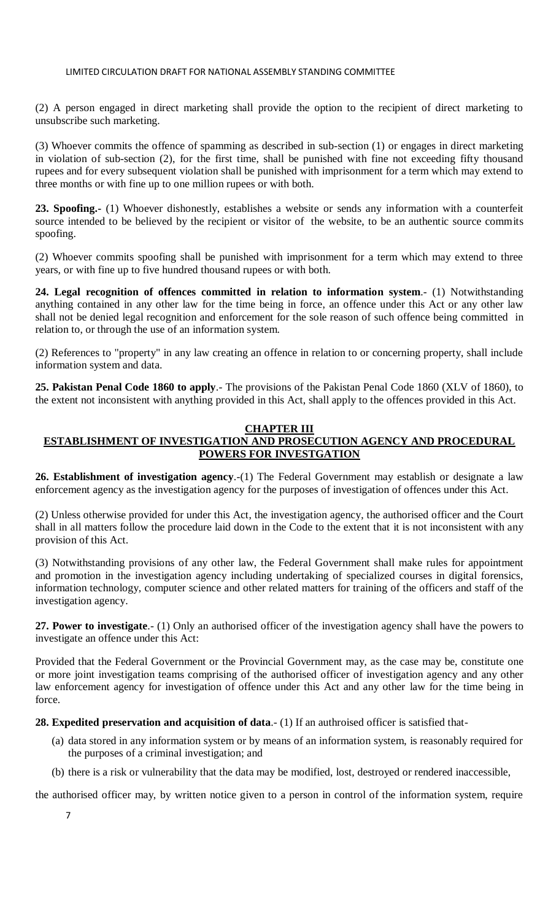(2) A person engaged in direct marketing shall provide the option to the recipient of direct marketing to unsubscribe such marketing.

(3) Whoever commits the offence of spamming as described in sub-section (1) or engages in direct marketing in violation of sub-section (2), for the first time, shall be punished with fine not exceeding fifty thousand rupees and for every subsequent violation shall be punished with imprisonment for a term which may extend to three months or with fine up to one million rupees or with both.

**23. Spoofing.-** (1) Whoever dishonestly, establishes a website or sends any information with a counterfeit source intended to be believed by the recipient or visitor of the website, to be an authentic source commits spoofing.

(2) Whoever commits spoofing shall be punished with imprisonment for a term which may extend to three years, or with fine up to five hundred thousand rupees or with both.

**24. Legal recognition of offences committed in relation to information system**.- (1) Notwithstanding anything contained in any other law for the time being in force, an offence under this Act or any other law shall not be denied legal recognition and enforcement for the sole reason of such offence being committed in relation to, or through the use of an information system.

(2) References to "property" in any law creating an offence in relation to or concerning property, shall include information system and data.

**25. Pakistan Penal Code 1860 to apply**.- The provisions of the Pakistan Penal Code 1860 (XLV of 1860), to the extent not inconsistent with anything provided in this Act, shall apply to the offences provided in this Act.

#### **CHAPTER III ESTABLISHMENT OF INVESTIGATION AND PROSECUTION AGENCY AND PROCEDURAL POWERS FOR INVESTGATION**

**26. Establishment of investigation agency**.-(1) The Federal Government may establish or designate a law enforcement agency as the investigation agency for the purposes of investigation of offences under this Act.

(2) Unless otherwise provided for under this Act, the investigation agency, the authorised officer and the Court shall in all matters follow the procedure laid down in the Code to the extent that it is not inconsistent with any provision of this Act.

(3) Notwithstanding provisions of any other law, the Federal Government shall make rules for appointment and promotion in the investigation agency including undertaking of specialized courses in digital forensics, information technology, computer science and other related matters for training of the officers and staff of the investigation agency.

**27. Power to investigate**.- (1) Only an authorised officer of the investigation agency shall have the powers to investigate an offence under this Act:

Provided that the Federal Government or the Provincial Government may, as the case may be, constitute one or more joint investigation teams comprising of the authorised officer of investigation agency and any other law enforcement agency for investigation of offence under this Act and any other law for the time being in force.

**28. Expedited preservation and acquisition of data**.- (1) If an authroised officer is satisfied that-

- (a) data stored in any information system or by means of an information system, is reasonably required for the purposes of a criminal investigation; and
- (b) there is a risk or vulnerability that the data may be modified, lost, destroyed or rendered inaccessible,

the authorised officer may, by written notice given to a person in control of the information system, require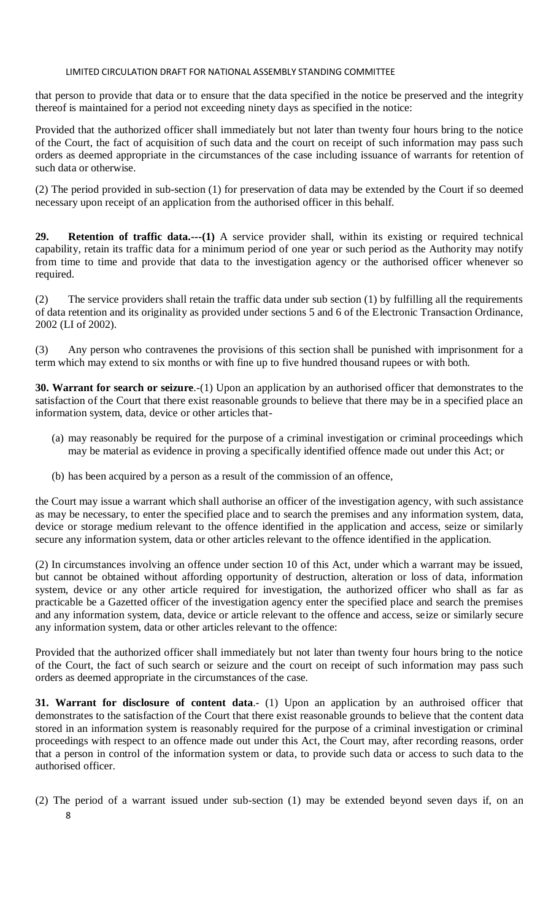that person to provide that data or to ensure that the data specified in the notice be preserved and the integrity thereof is maintained for a period not exceeding ninety days as specified in the notice:

Provided that the authorized officer shall immediately but not later than twenty four hours bring to the notice of the Court, the fact of acquisition of such data and the court on receipt of such information may pass such orders as deemed appropriate in the circumstances of the case including issuance of warrants for retention of such data or otherwise.

(2) The period provided in sub-section (1) for preservation of data may be extended by the Court if so deemed necessary upon receipt of an application from the authorised officer in this behalf.

**29. Retention of traffic data.---(1)** A service provider shall, within its existing or required technical capability, retain its traffic data for a minimum period of one year or such period as the Authority may notify from time to time and provide that data to the investigation agency or the authorised officer whenever so required.

(2) The service providers shall retain the traffic data under sub section (1) by fulfilling all the requirements of data retention and its originality as provided under sections 5 and 6 of the Electronic Transaction Ordinance, 2002 (LI of 2002).

(3) Any person who contravenes the provisions of this section shall be punished with imprisonment for a term which may extend to six months or with fine up to five hundred thousand rupees or with both.

**30. Warrant for search or seizure**.-(1) Upon an application by an authorised officer that demonstrates to the satisfaction of the Court that there exist reasonable grounds to believe that there may be in a specified place an information system, data, device or other articles that-

- (a) may reasonably be required for the purpose of a criminal investigation or criminal proceedings which may be material as evidence in proving a specifically identified offence made out under this Act; or
- (b) has been acquired by a person as a result of the commission of an offence,

the Court may issue a warrant which shall authorise an officer of the investigation agency, with such assistance as may be necessary, to enter the specified place and to search the premises and any information system, data, device or storage medium relevant to the offence identified in the application and access, seize or similarly secure any information system, data or other articles relevant to the offence identified in the application.

(2) In circumstances involving an offence under section 10 of this Act, under which a warrant may be issued, but cannot be obtained without affording opportunity of destruction, alteration or loss of data, information system, device or any other article required for investigation, the authorized officer who shall as far as practicable be a Gazetted officer of the investigation agency enter the specified place and search the premises and any information system, data, device or article relevant to the offence and access, seize or similarly secure any information system, data or other articles relevant to the offence:

Provided that the authorized officer shall immediately but not later than twenty four hours bring to the notice of the Court, the fact of such search or seizure and the court on receipt of such information may pass such orders as deemed appropriate in the circumstances of the case.

**31. Warrant for disclosure of content data**.- (1) Upon an application by an authroised officer that demonstrates to the satisfaction of the Court that there exist reasonable grounds to believe that the content data stored in an information system is reasonably required for the purpose of a criminal investigation or criminal proceedings with respect to an offence made out under this Act, the Court may, after recording reasons, order that a person in control of the information system or data, to provide such data or access to such data to the authorised officer.

<sup>8</sup> (2) The period of a warrant issued under sub-section (1) may be extended beyond seven days if, on an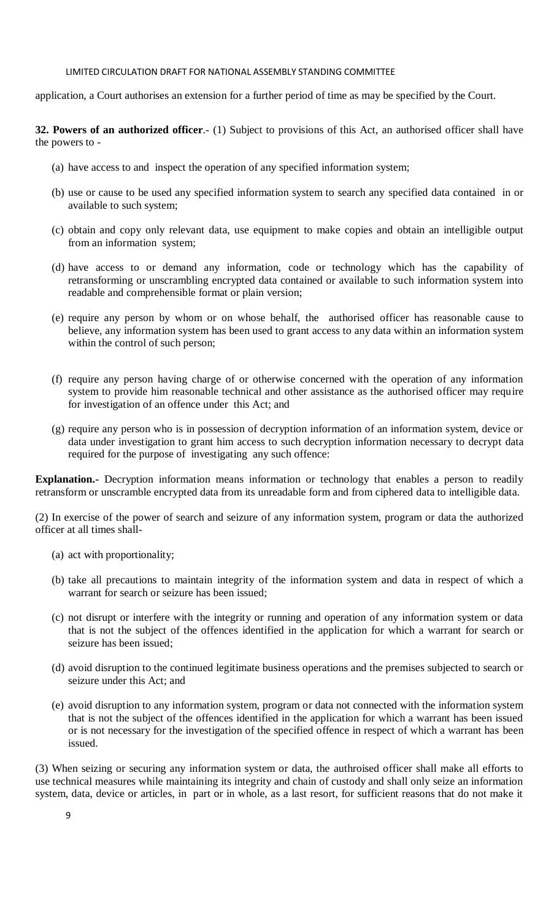application, a Court authorises an extension for a further period of time as may be specified by the Court.

**32. Powers of an authorized officer**.- (1) Subject to provisions of this Act, an authorised officer shall have the powers to -

- (a) have access to and inspect the operation of any specified information system;
- (b) use or cause to be used any specified information system to search any specified data contained in or available to such system;
- (c) obtain and copy only relevant data, use equipment to make copies and obtain an intelligible output from an information system;
- (d) have access to or demand any information, code or technology which has the capability of retransforming or unscrambling encrypted data contained or available to such information system into readable and comprehensible format or plain version;
- (e) require any person by whom or on whose behalf, the authorised officer has reasonable cause to believe, any information system has been used to grant access to any data within an information system within the control of such person;
- (f) require any person having charge of or otherwise concerned with the operation of any information system to provide him reasonable technical and other assistance as the authorised officer may require for investigation of an offence under this Act; and
- (g) require any person who is in possession of decryption information of an information system, device or data under investigation to grant him access to such decryption information necessary to decrypt data required for the purpose of investigating any such offence:

**Explanation.-** Decryption information means information or technology that enables a person to readily retransform or unscramble encrypted data from its unreadable form and from ciphered data to intelligible data.

(2) In exercise of the power of search and seizure of any information system, program or data the authorized officer at all times shall-

- (a) act with proportionality;
- (b) take all precautions to maintain integrity of the information system and data in respect of which a warrant for search or seizure has been issued;
- (c) not disrupt or interfere with the integrity or running and operation of any information system or data that is not the subject of the offences identified in the application for which a warrant for search or seizure has been issued;
- (d) avoid disruption to the continued legitimate business operations and the premises subjected to search or seizure under this Act; and
- (e) avoid disruption to any information system, program or data not connected with the information system that is not the subject of the offences identified in the application for which a warrant has been issued or is not necessary for the investigation of the specified offence in respect of which a warrant has been issued.

(3) When seizing or securing any information system or data, the authroised officer shall make all efforts to use technical measures while maintaining its integrity and chain of custody and shall only seize an information system, data, device or articles, in part or in whole, as a last resort, for sufficient reasons that do not make it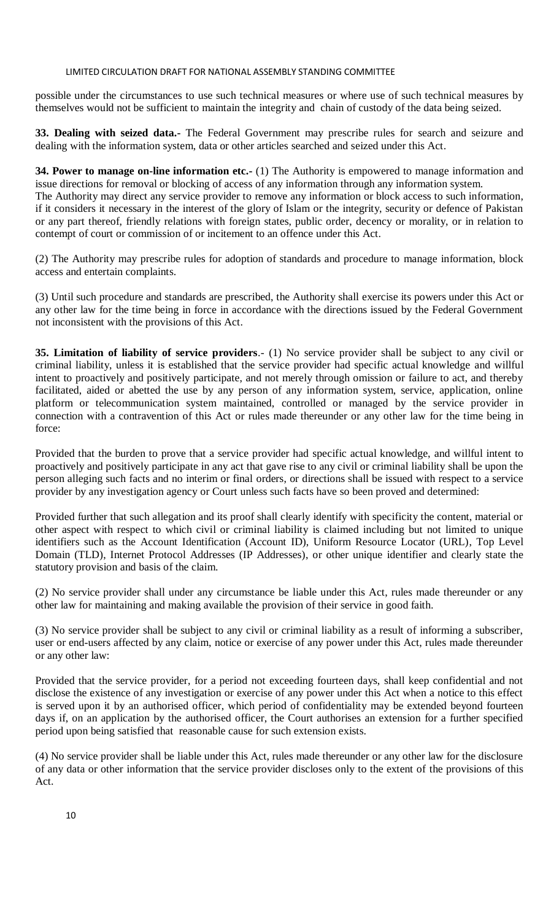possible under the circumstances to use such technical measures or where use of such technical measures by themselves would not be sufficient to maintain the integrity and chain of custody of the data being seized.

**33. Dealing with seized data.-** The Federal Government may prescribe rules for search and seizure and dealing with the information system, data or other articles searched and seized under this Act.

**34. Power to manage on-line information etc.-** (1) The Authority is empowered to manage information and issue directions for removal or blocking of access of any information through any information system.

The Authority may direct any service provider to remove any information or block access to such information, if it considers it necessary in the interest of the glory of Islam or the integrity, security or defence of Pakistan or any part thereof, friendly relations with foreign states, public order, decency or morality, or in relation to contempt of court or commission of or incitement to an offence under this Act.

(2) The Authority may prescribe rules for adoption of standards and procedure to manage information, block access and entertain complaints.

(3) Until such procedure and standards are prescribed, the Authority shall exercise its powers under this Act or any other law for the time being in force in accordance with the directions issued by the Federal Government not inconsistent with the provisions of this Act.

**35. Limitation of liability of service providers**.- (1) No service provider shall be subject to any civil or criminal liability, unless it is established that the service provider had specific actual knowledge and willful intent to proactively and positively participate, and not merely through omission or failure to act, and thereby facilitated, aided or abetted the use by any person of any information system, service, application, online platform or telecommunication system maintained, controlled or managed by the service provider in connection with a contravention of this Act or rules made thereunder or any other law for the time being in force:

Provided that the burden to prove that a service provider had specific actual knowledge, and willful intent to proactively and positively participate in any act that gave rise to any civil or criminal liability shall be upon the person alleging such facts and no interim or final orders, or directions shall be issued with respect to a service provider by any investigation agency or Court unless such facts have so been proved and determined:

Provided further that such allegation and its proof shall clearly identify with specificity the content, material or other aspect with respect to which civil or criminal liability is claimed including but not limited to unique identifiers such as the Account Identification (Account ID), Uniform Resource Locator (URL), Top Level Domain (TLD), Internet Protocol Addresses (IP Addresses), or other unique identifier and clearly state the statutory provision and basis of the claim.

(2) No service provider shall under any circumstance be liable under this Act, rules made thereunder or any other law for maintaining and making available the provision of their service in good faith.

(3) No service provider shall be subject to any civil or criminal liability as a result of informing a subscriber, user or end-users affected by any claim, notice or exercise of any power under this Act, rules made thereunder or any other law:

Provided that the service provider, for a period not exceeding fourteen days, shall keep confidential and not disclose the existence of any investigation or exercise of any power under this Act when a notice to this effect is served upon it by an authorised officer, which period of confidentiality may be extended beyond fourteen days if, on an application by the authorised officer, the Court authorises an extension for a further specified period upon being satisfied that reasonable cause for such extension exists.

(4) No service provider shall be liable under this Act, rules made thereunder or any other law for the disclosure of any data or other information that the service provider discloses only to the extent of the provisions of this Act.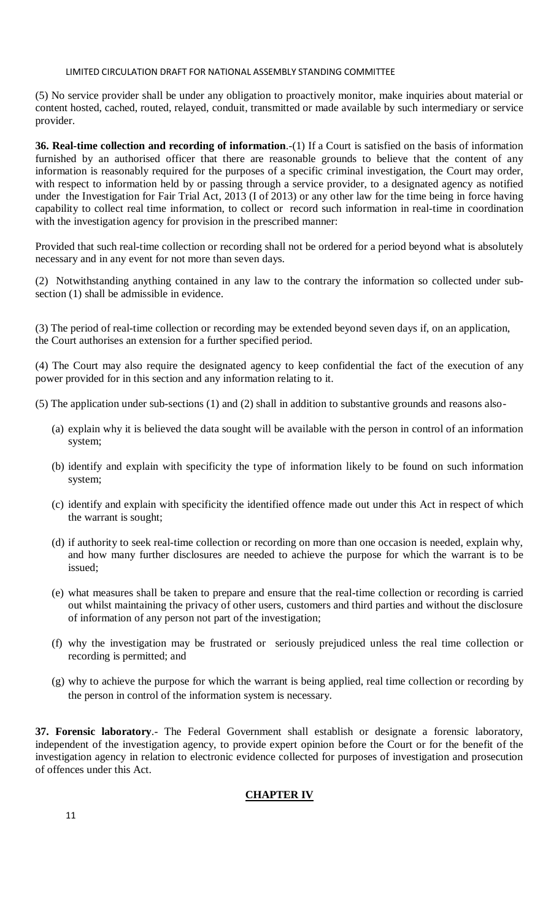(5) No service provider shall be under any obligation to proactively monitor, make inquiries about material or content hosted, cached, routed, relayed, conduit, transmitted or made available by such intermediary or service provider.

**36. Real-time collection and recording of information**.-(1) If a Court is satisfied on the basis of information furnished by an authorised officer that there are reasonable grounds to believe that the content of any information is reasonably required for the purposes of a specific criminal investigation, the Court may order, with respect to information held by or passing through a service provider, to a designated agency as notified under the Investigation for Fair Trial Act, 2013 (I of 2013) or any other law for the time being in force having capability to collect real time information, to collect or record such information in real-time in coordination with the investigation agency for provision in the prescribed manner:

Provided that such real-time collection or recording shall not be ordered for a period beyond what is absolutely necessary and in any event for not more than seven days.

(2) Notwithstanding anything contained in any law to the contrary the information so collected under subsection (1) shall be admissible in evidence.

(3) The period of real-time collection or recording may be extended beyond seven days if, on an application, the Court authorises an extension for a further specified period.

(4) The Court may also require the designated agency to keep confidential the fact of the execution of any power provided for in this section and any information relating to it.

(5) The application under sub-sections (1) and (2) shall in addition to substantive grounds and reasons also-

- (a) explain why it is believed the data sought will be available with the person in control of an information system;
- (b) identify and explain with specificity the type of information likely to be found on such information system;
- (c) identify and explain with specificity the identified offence made out under this Act in respect of which the warrant is sought;
- (d) if authority to seek real-time collection or recording on more than one occasion is needed, explain why, and how many further disclosures are needed to achieve the purpose for which the warrant is to be issued;
- (e) what measures shall be taken to prepare and ensure that the real-time collection or recording is carried out whilst maintaining the privacy of other users, customers and third parties and without the disclosure of information of any person not part of the investigation;
- (f) why the investigation may be frustrated or seriously prejudiced unless the real time collection or recording is permitted; and
- (g) why to achieve the purpose for which the warrant is being applied, real time collection or recording by the person in control of the information system is necessary.

**37. Forensic laboratory**.- The Federal Government shall establish or designate a forensic laboratory, independent of the investigation agency, to provide expert opinion before the Court or for the benefit of the investigation agency in relation to electronic evidence collected for purposes of investigation and prosecution of offences under this Act.

### **CHAPTER IV**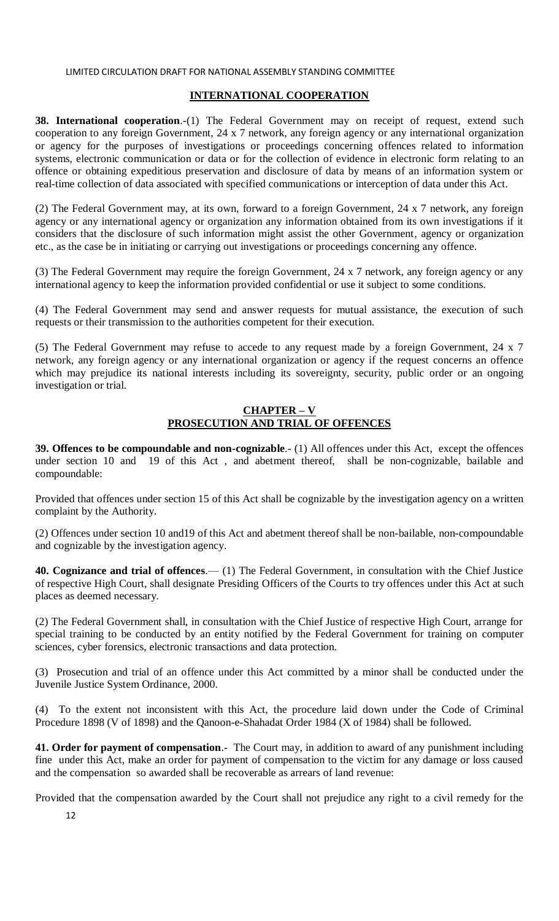## **INTERNATIONAL COOPERATION**

**38. International cooperation.-(1)** The Federal Government may on receipt of request, extend such cooperation to any foreign Government, 24 x 7 network, any foreign agency or any international organization or agency for the purposes of investigations or proceedings concerning offences related to information systems, electronic communication or data or for the collection of evidence in electronic form relating to an offence or obtaining expeditious preservation and disclosure of data by means of an information system or real-time collection of data associated with specified communications or interception of data under this Act.

(2) The Federal Government may, at its own, forward to a foreign Government, 24 x 7 network, any foreign agency or any international agency or organization any information obtained from its own investigations if it considers that the disclosure of such information might assist the other Government, agency or organization etc., as the case be in initiating or carrying out investigations or proceedings concerning any offence.

(3) The Federal Government may require the foreign Government, 24 x 7 network, any foreign agency or any international agency to keep the information provided confidential or use it subject to some conditions.

(4) The Federal Government may send and answer requests for mutual assistance, the execution of such requests or their transmission to the authorities competent for their execution.

(5) The Federal Government may refuse to accede to any request made by a foreign Government, 24 x 7 network, any foreign agency or any international organization or agency if the request concerns an offence which may prejudice its national interests including its sovereignty, security, public order or an ongoing investigation or trial.

# **CHAPTER – V PROSECUTION AND TRIAL OF OFFENCES**

**39. Offences to be compoundable and non-cognizable**.- (1) All offences under this Act, except the offences under section 10 and 19 of this Act , and abetment thereof, shall be non-cognizable, bailable and compoundable:

Provided that offences under section 15 of this Act shall be cognizable by the investigation agency on a written complaint by the Authority.

(2) Offences under section 10 and19 of this Act and abetment thereof shall be non-bailable, non-compoundable and cognizable by the investigation agency.

**40. Cognizance and trial of offences**.— (1) The Federal Government, in consultation with the Chief Justice of respective High Court, shall designate Presiding Officers of the Courts to try offences under this Act at such places as deemed necessary.

(2) The Federal Government shall, in consultation with the Chief Justice of respective High Court, arrange for special training to be conducted by an entity notified by the Federal Government for training on computer sciences, cyber forensics, electronic transactions and data protection.

(3) Prosecution and trial of an offence under this Act committed by a minor shall be conducted under the Juvenile Justice System Ordinance, 2000.

(4) To the extent not inconsistent with this Act, the procedure laid down under the Code of Criminal Procedure 1898 (V of 1898) and the Qanoon-e-Shahadat Order 1984 (X of 1984) shall be followed.

**41. Order for payment of compensation**.- The Court may, in addition to award of any punishment including fine under this Act, make an order for payment of compensation to the victim for any damage or loss caused and the compensation so awarded shall be recoverable as arrears of land revenue:

Provided that the compensation awarded by the Court shall not prejudice any right to a civil remedy for the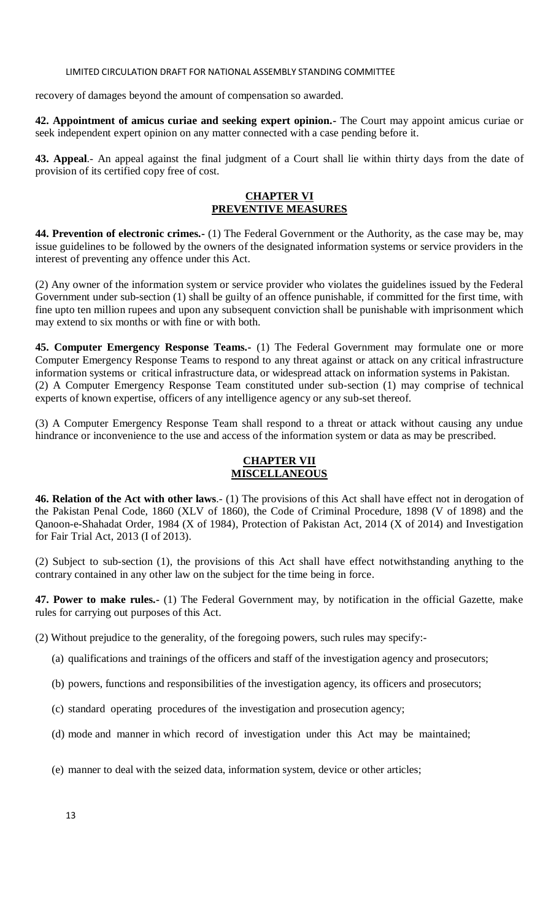recovery of damages beyond the amount of compensation so awarded.

**42. Appointment of amicus curiae and seeking expert opinion.-** The Court may appoint amicus curiae or seek independent expert opinion on any matter connected with a case pending before it.

**43. Appeal**.- An appeal against the final judgment of a Court shall lie within thirty days from the date of provision of its certified copy free of cost.

### **CHAPTER VI PREVENTIVE MEASURES**

**44. Prevention of electronic crimes.-** (1) The Federal Government or the Authority, as the case may be, may issue guidelines to be followed by the owners of the designated information systems or service providers in the interest of preventing any offence under this Act.

(2) Any owner of the information system or service provider who violates the guidelines issued by the Federal Government under sub-section (1) shall be guilty of an offence punishable, if committed for the first time, with fine upto ten million rupees and upon any subsequent conviction shall be punishable with imprisonment which may extend to six months or with fine or with both.

**45. Computer Emergency Response Teams.-** (1) The Federal Government may formulate one or more Computer Emergency Response Teams to respond to any threat against or attack on any critical infrastructure information systems or critical infrastructure data, or widespread attack on information systems in Pakistan. (2) A Computer Emergency Response Team constituted under sub-section (1) may comprise of technical experts of known expertise, officers of any intelligence agency or any sub-set thereof.

(3) A Computer Emergency Response Team shall respond to a threat or attack without causing any undue hindrance or inconvenience to the use and access of the information system or data as may be prescribed.

# **CHAPTER VII MISCELLANEOUS**

**46. Relation of the Act with other laws**.- (1) The provisions of this Act shall have effect not in derogation of the Pakistan Penal Code, 1860 (XLV of 1860), the Code of Criminal Procedure, 1898 (V of 1898) and the Qanoon-e-Shahadat Order, 1984 (X of 1984), Protection of Pakistan Act, 2014 (X of 2014) and Investigation for Fair Trial Act, 2013 (I of 2013).

(2) Subject to sub-section (1), the provisions of this Act shall have effect notwithstanding anything to the contrary contained in any other law on the subject for the time being in force.

**47. Power to make rules.-** (1) The Federal Government may, by notification in the official Gazette, make rules for carrying out purposes of this Act.

(2) Without prejudice to the generality, of the foregoing powers, such rules may specify:-

- (a) qualifications and trainings of the officers and staff of the investigation agency and prosecutors;
- (b) powers, functions and responsibilities of the investigation agency, its officers and prosecutors;
- (c) standard operating procedures of the investigation and prosecution agency;
- (d) mode and manner in which record of investigation under this Act may be maintained;
- (e) manner to deal with the seized data, information system, device or other articles;